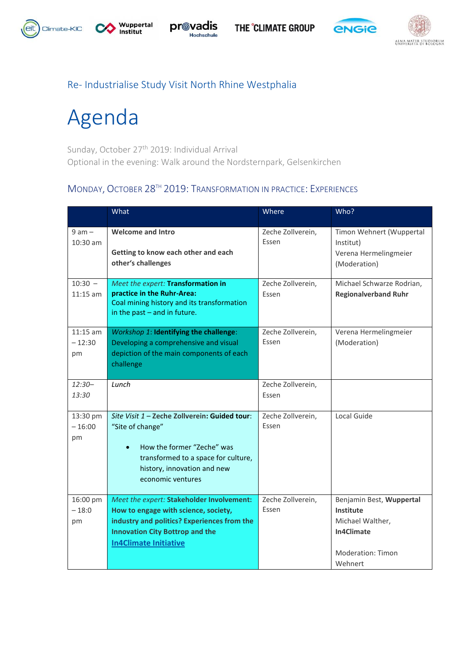











### Re- Industrialise Study Visit North Rhine Westphalia

# Agenda

Sunday, October 27<sup>th</sup> 2019: Individual Arrival Optional in the evening: Walk around the Nordsternpark, Gelsenkirchen

#### MONDAY, OCTOBER 28TH 2019: TRANSFORMATION IN PRACTICE: EXPERIENCES

|                              | What                                                                                                                                                                                                       | Where                      | Who?                                                                                                           |
|------------------------------|------------------------------------------------------------------------------------------------------------------------------------------------------------------------------------------------------------|----------------------------|----------------------------------------------------------------------------------------------------------------|
| $9$ am $-$<br>10:30 am       | <b>Welcome and Intro</b><br>Getting to know each other and each<br>other's challenges                                                                                                                      | Zeche Zollverein,<br>Essen | Timon Wehnert (Wuppertal<br>Institut)<br>Verena Hermelingmeier<br>(Moderation)                                 |
| $10:30 -$<br>$11:15$ am      | Meet the expert: Transformation in<br>practice in the Ruhr-Area:<br>Coal mining history and its transformation<br>in the past $-$ and in future.                                                           | Zeche Zollverein,<br>Essen | Michael Schwarze Rodrian,<br><b>Regionalverband Ruhr</b>                                                       |
| $11:15$ am<br>$-12:30$<br>pm | Workshop 1: Identifying the challenge:<br>Developing a comprehensive and visual<br>depiction of the main components of each<br>challenge                                                                   | Zeche Zollverein,<br>Essen | Verena Hermelingmeier<br>(Moderation)                                                                          |
| $12:30-$<br>13:30            | Lunch                                                                                                                                                                                                      | Zeche Zollverein,<br>Essen |                                                                                                                |
| 13:30 pm<br>$-16:00$<br>pm   | Site Visit 1 - Zeche Zollverein: Guided tour:<br>"Site of change"<br>How the former "Zeche" was<br>$\bullet$<br>transformed to a space for culture,<br>history, innovation and new<br>economic ventures    | Zeche Zollverein,<br>Essen | Local Guide                                                                                                    |
| 16:00 pm<br>$-18:0$<br>pm    | Meet the expert: Stakeholder Involvement:<br>How to engage with science, society,<br>industry and politics? Experiences from the<br><b>Innovation City Bottrop and the</b><br><b>In4Climate Initiative</b> | Zeche Zollverein,<br>Essen | Benjamin Best, Wuppertal<br>Institute<br>Michael Walther,<br>In4Climate<br><b>Moderation: Timon</b><br>Wehnert |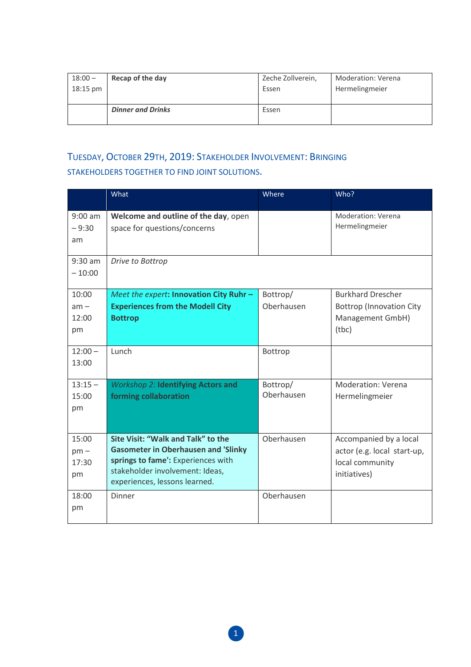| $18:00 -$ | Recap of the day         | Zeche Zollverein, | <b>Moderation: Verena</b> |
|-----------|--------------------------|-------------------|---------------------------|
| 18:15 pm  |                          | Essen             | Hermelingmeier            |
|           | <b>Dinner and Drinks</b> | Essen             |                           |

## TUESDAY, OCTOBER 29TH, 2019: STAKEHOLDER INVOLVEMENT: BRINGING STAKEHOLDERS TOGETHER TO FIND JOINT SOLUTIONS.

|                                | What                                                                                                                                                                                       | Where                  | Who?                                                                                     |
|--------------------------------|--------------------------------------------------------------------------------------------------------------------------------------------------------------------------------------------|------------------------|------------------------------------------------------------------------------------------|
| $9:00$ am<br>$-9:30$<br>am     | Welcome and outline of the day, open<br>space for questions/concerns                                                                                                                       |                        | Moderation: Verena<br>Hermelingmeier                                                     |
| $9:30$ am<br>$-10:00$          | Drive to Bottrop                                                                                                                                                                           |                        |                                                                                          |
| 10:00<br>$am -$<br>12:00<br>pm | Meet the expert: Innovation City Ruhr -<br><b>Experiences from the Modell City</b><br><b>Bottrop</b>                                                                                       | Bottrop/<br>Oberhausen | <b>Burkhard Drescher</b><br><b>Bottrop (Innovation City</b><br>Management GmbH)<br>(tbc) |
| $12:00 -$<br>13:00             | Lunch                                                                                                                                                                                      | Bottrop                |                                                                                          |
| $13:15 -$<br>15:00<br>pm       | <b>Workshop 2: Identifying Actors and</b><br>forming collaboration                                                                                                                         | Bottrop/<br>Oberhausen | <b>Moderation: Verena</b><br>Hermelingmeier                                              |
| 15:00<br>$pm -$<br>17:30<br>pm | Site Visit: "Walk and Talk" to the<br><b>Gasometer in Oberhausen and 'Slinky</b><br>springs to fame': Experiences with<br>stakeholder involvement: Ideas,<br>experiences, lessons learned. | Oberhausen             | Accompanied by a local<br>actor (e.g. local start-up,<br>local community<br>initiatives) |
| 18:00<br>pm                    | Dinner                                                                                                                                                                                     | Oberhausen             |                                                                                          |